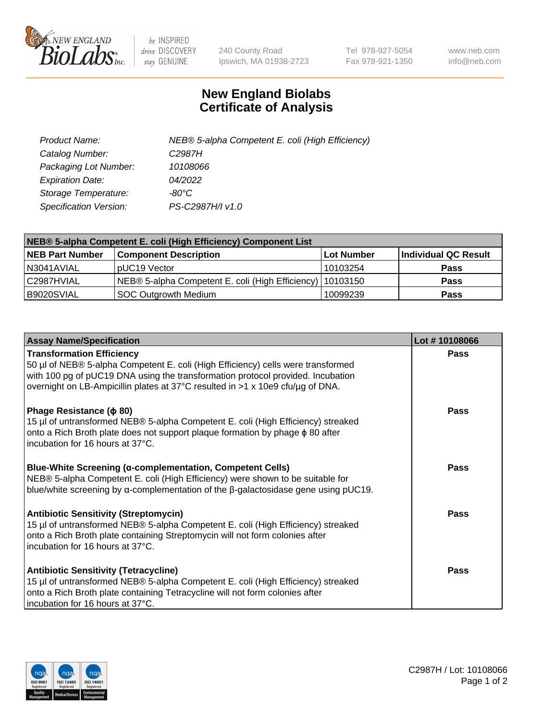

 $be$  INSPIRED drive DISCOVERY stay GENUINE

240 County Road Ipswich, MA 01938-2723 Tel 978-927-5054 Fax 978-921-1350 www.neb.com info@neb.com

## **New England Biolabs Certificate of Analysis**

| Product Name:           | NEB® 5-alpha Competent E. coli (High Efficiency) |
|-------------------------|--------------------------------------------------|
| Catalog Number:         | C <sub>2987</sub> H                              |
| Packaging Lot Number:   | 10108066                                         |
| <b>Expiration Date:</b> | 04/2022                                          |
| Storage Temperature:    | -80°C                                            |
| Specification Version:  | PS-C2987H/I v1.0                                 |

| NEB® 5-alpha Competent E. coli (High Efficiency) Component List |                                                             |            |                      |  |
|-----------------------------------------------------------------|-------------------------------------------------------------|------------|----------------------|--|
| <b>NEB Part Number</b>                                          | <b>Component Description</b>                                | Lot Number | Individual QC Result |  |
| N3041AVIAL                                                      | pUC19 Vector                                                | 10103254   | <b>Pass</b>          |  |
| C2987HVIAL                                                      | NEB® 5-alpha Competent E. coli (High Efficiency)   10103150 |            | <b>Pass</b>          |  |
| B9020SVIAL                                                      | <b>SOC Outgrowth Medium</b>                                 | 10099239   | <b>Pass</b>          |  |

| <b>Assay Name/Specification</b>                                                                                                                                                                                                                                                           | Lot #10108066 |
|-------------------------------------------------------------------------------------------------------------------------------------------------------------------------------------------------------------------------------------------------------------------------------------------|---------------|
| <b>Transformation Efficiency</b><br>50 µl of NEB® 5-alpha Competent E. coli (High Efficiency) cells were transformed<br>with 100 pg of pUC19 DNA using the transformation protocol provided. Incubation<br>overnight on LB-Ampicillin plates at 37°C resulted in >1 x 10e9 cfu/µg of DNA. | Pass          |
| Phage Resistance ( $\phi$ 80)<br>15 µl of untransformed NEB® 5-alpha Competent E. coli (High Efficiency) streaked<br>onto a Rich Broth plate does not support plaque formation by phage $\phi$ 80 after<br>Incubation for 16 hours at 37°C.                                               | Pass          |
| <b>Blue-White Screening (α-complementation, Competent Cells)</b><br>NEB® 5-alpha Competent E. coli (High Efficiency) were shown to be suitable for<br>blue/white screening by $\alpha$ -complementation of the $\beta$ -galactosidase gene using pUC19.                                   | Pass          |
| <b>Antibiotic Sensitivity (Streptomycin)</b><br>15 µl of untransformed NEB® 5-alpha Competent E. coli (High Efficiency) streaked<br>onto a Rich Broth plate containing Streptomycin will not form colonies after<br>incubation for 16 hours at 37°C.                                      | <b>Pass</b>   |
| <b>Antibiotic Sensitivity (Tetracycline)</b><br>15 µl of untransformed NEB® 5-alpha Competent E. coli (High Efficiency) streaked<br>onto a Rich Broth plate containing Tetracycline will not form colonies after<br>incubation for 16 hours at 37°C.                                      | Pass          |